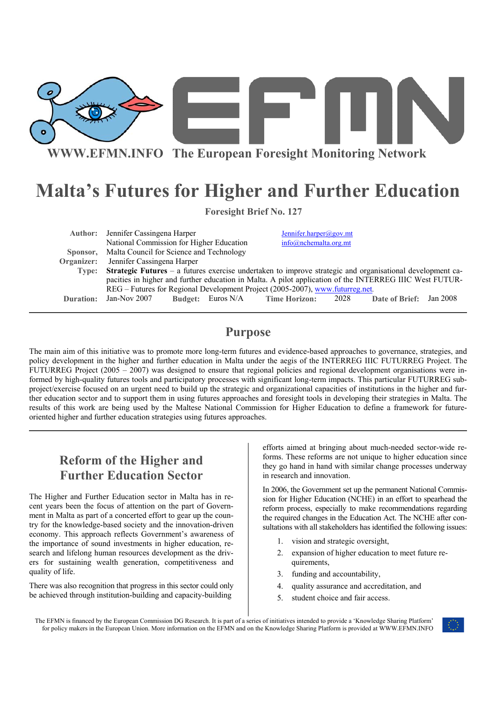

**WWW.EFMN.INFO The European Foresight Monitoring Network**

# **Malta's Futures for Higher and Further Education**

|                                           | <b>Foresight Brief No. 127</b> |  |
|-------------------------------------------|--------------------------------|--|
| <b>Author:</b> Jennifer Cassingena Harper | Jennifer.harper@gov.mt         |  |

National Commission for Higher Education info@nchemalta.org.mt

 **Sponsor, Organizer:**  Malta Council for Science and Technology Jennifer Cassingena Harper **Type: Strategic Futures** – a futures exercise undertaken to improve strategic and organisational development capacities in higher and further education in Malta. A pilot application of the INTERREG IIIC West FUTUR-REG – Futures for Regional Development Project (2005-2007), www.futurreg.net*.* **Duration:** Jan-Nov 2007 **Budget:** Euros N/A **Time Horizon:** 2028 **Date of Brief:** Jan 2008

# **Purpose**

The main aim of this initiative was to promote more long-term futures and evidence-based approaches to governance, strategies, and policy development in the higher and further education in Malta under the aegis of the INTERREG IIIC FUTURREG Project. The FUTURREG Project (2005 – 2007) was designed to ensure that regional policies and regional development organisations were informed by high-quality futures tools and participatory processes with significant long-term impacts. This particular FUTURREG subproject/exercise focused on an urgent need to build up the strategic and organizational capacities of institutions in the higher and further education sector and to support them in using futures approaches and foresight tools in developing their strategies in Malta. The results of this work are being used by the Maltese National Commission for Higher Education to define a framework for futureoriented higher and further education strategies using futures approaches.

# **Reform of the Higher and Further Education Sector**

The Higher and Further Education sector in Malta has in recent years been the focus of attention on the part of Government in Malta as part of a concerted effort to gear up the country for the knowledge-based society and the innovation-driven economy. This approach reflects Government's awareness of the importance of sound investments in higher education, research and lifelong human resources development as the drivers for sustaining wealth generation, competitiveness and quality of life.

There was also recognition that progress in this sector could only be achieved through institution-building and capacity-building

efforts aimed at bringing about much-needed sector-wide reforms. These reforms are not unique to higher education since they go hand in hand with similar change processes underway in research and innovation.

In 2006, the Government set up the permanent National Commission for Higher Education (NCHE) in an effort to spearhead the reform process, especially to make recommendations regarding the required changes in the Education Act. The NCHE after consultations with all stakeholders has identified the following issues:

- 1. vision and strategic oversight,
- 2. expansion of higher education to meet future requirements,
- 3. funding and accountability,
- 4. quality assurance and accreditation, and
- 5. student choice and fair access.

The EFMN is financed by the European Commission DG Research. It is part of a series of initiatives intended to provide a 'Knowledge Sharing Platform' for policy makers in the European Union. More information on the EFMN and on the Knowledge Sharing Platform is provided at WWW.EFMN.INFO

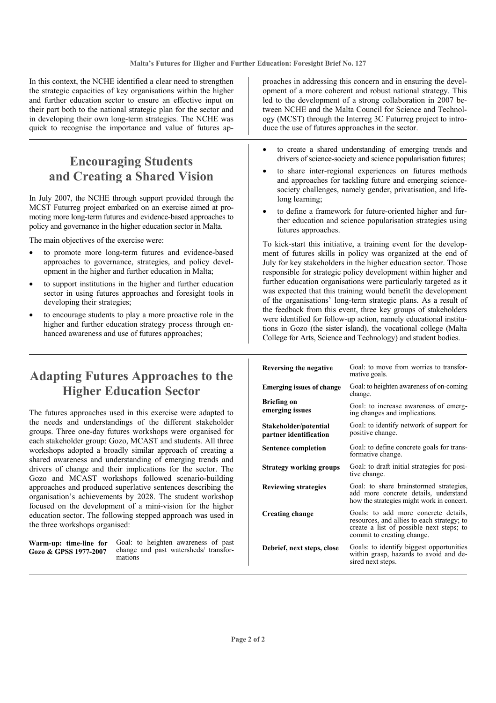In this context, the NCHE identified a clear need to strengthen the strategic capacities of key organisations within the higher and further education sector to ensure an effective input on their part both to the national strategic plan for the sector and in developing their own long-term strategies. The NCHE was quick to recognise the importance and value of futures ap-

# **Encouraging Students and Creating a Shared Vision**

In July 2007, the NCHE through support provided through the MCST Futurreg project embarked on an exercise aimed at promoting more long-term futures and evidence-based approaches to policy and governance in the higher education sector in Malta.

The main objectives of the exercise were:

- to promote more long-term futures and evidence-based approaches to governance, strategies, and policy development in the higher and further education in Malta;
- to support institutions in the higher and further education sector in using futures approaches and foresight tools in developing their strategies;
- to encourage students to play a more proactive role in the higher and further education strategy process through enhanced awareness and use of futures approaches;

proaches in addressing this concern and in ensuring the development of a more coherent and robust national strategy. This led to the development of a strong collaboration in 2007 between NCHE and the Malta Council for Science and Technology (MCST) through the Interreg 3C Futurreg project to introduce the use of futures approaches in the sector.

- to create a shared understanding of emerging trends and drivers of science-society and science popularisation futures;
- to share inter-regional experiences on futures methods and approaches for tackling future and emerging sciencesociety challenges, namely gender, privatisation, and lifelong learning;
- to define a framework for future-oriented higher and further education and science popularisation strategies using futures approaches.

To kick-start this initiative, a training event for the development of futures skills in policy was organized at the end of July for key stakeholders in the higher education sector. Those responsible for strategic policy development within higher and further education organisations were particularly targeted as it was expected that this training would benefit the development of the organisations' long-term strategic plans. As a result of the feedback from this event, three key groups of stakeholders were identified for follow-up action, namely educational institutions in Gozo (the sister island), the vocational college (Malta College for Arts, Science and Technology) and student bodies.

# **Adapting Futures Approaches to the Higher Education Sector**

The futures approaches used in this exercise were adapted to the needs and understandings of the different stakeholder groups. Three one-day futures workshops were organised for each stakeholder group: Gozo, MCAST and students. All three workshops adopted a broadly similar approach of creating a shared awareness and understanding of emerging trends and drivers of change and their implications for the sector. The Gozo and MCAST workshops followed scenario-building approaches and produced superlative sentences describing the organisation's achievements by 2028. The student workshop focused on the development of a mini-vision for the higher education sector. The following stepped approach was used in the three workshops organised:

**Warm-up: time-line for Gozo & GPSS 1977-2007** 

Goal: to heighten awareness of past change and past watersheds/ transformations

| Reversing the negative                          | Goal: to move from worries to transfor-<br>mative goals.                                                                                                     |
|-------------------------------------------------|--------------------------------------------------------------------------------------------------------------------------------------------------------------|
| <b>Emerging issues of change</b>                | Goal: to heighten awareness of on-coming<br>change.                                                                                                          |
| <b>Briefing on</b><br>emerging issues           | Goal: to increase awareness of emerg-<br>ing changes and implications.                                                                                       |
| Stakeholder/potential<br>partner identification | Goal: to identify network of support for<br>positive change.                                                                                                 |
| <b>Sentence completion</b>                      | Goal: to define concrete goals for trans-<br>formative change.                                                                                               |
| <b>Strategy working groups</b>                  | Goal: to draft initial strategies for posi-<br>tive change.                                                                                                  |
| <b>Reviewing strategies</b>                     | Goal: to share brainstormed strategies,<br>add more concrete details, understand<br>how the strategies might work in concert.                                |
| <b>Creating change</b>                          | Goals: to add more concrete details,<br>resources, and allies to each strategy; to<br>create a list of possible next steps; to<br>commit to creating change. |
| Debrief, next steps, close                      | Goals: to identify biggest opportunities<br>within grasp, hazards to avoid and de-<br>sired next steps.                                                      |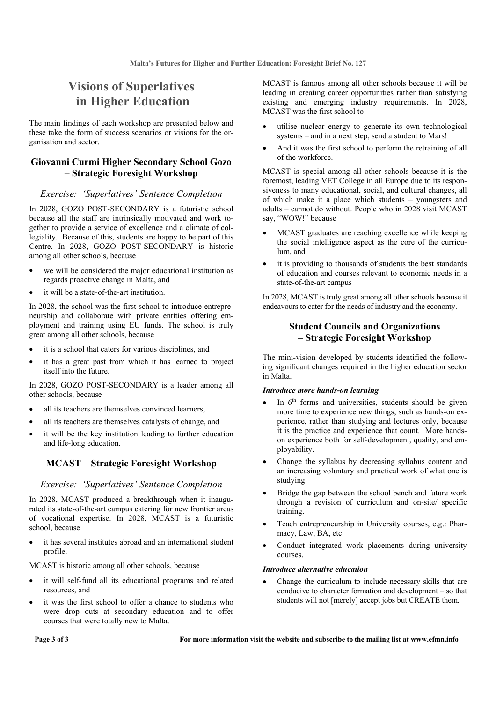# **Visions of Superlatives in Higher Education**

The main findings of each workshop are presented below and these take the form of success scenarios or visions for the organisation and sector.

### **Giovanni Curmi Higher Secondary School Gozo – Strategic Foresight Workshop**

### *Exercise: 'Superlatives' Sentence Completion*

In 2028, GOZO POST-SECONDARY is a futuristic school because all the staff are intrinsically motivated and work together to provide a service of excellence and a climate of collegiality. Because of this, students are happy to be part of this Centre. In 2028, GOZO POST-SECONDARY is historic among all other schools, because

- we will be considered the major educational institution as regards proactive change in Malta, and
- it will be a state-of-the-art institution.

In 2028, the school was the first school to introduce entrepreneurship and collaborate with private entities offering employment and training using EU funds. The school is truly great among all other schools, because

- it is a school that caters for various disciplines, and
- it has a great past from which it has learned to project itself into the future.

In 2028, GOZO POST-SECONDARY is a leader among all other schools, because

- all its teachers are themselves convinced learners,
- all its teachers are themselves catalysts of change, and
- it will be the key institution leading to further education and life-long education.

### **MCAST – Strategic Foresight Workshop**

#### *Exercise: 'Superlatives' Sentence Completion*

In 2028, MCAST produced a breakthrough when it inaugurated its state-of-the-art campus catering for new frontier areas of vocational expertise. In 2028, MCAST is a futuristic school, because

it has several institutes abroad and an international student profile.

MCAST is historic among all other schools, because

- it will self-fund all its educational programs and related resources, and
- it was the first school to offer a chance to students who were drop outs at secondary education and to offer courses that were totally new to Malta.

MCAST is famous among all other schools because it will be leading in creating career opportunities rather than satisfying existing and emerging industry requirements. In 2028, MCAST was the first school to

- utilise nuclear energy to generate its own technological systems – and in a next step, send a student to Mars!
- And it was the first school to perform the retraining of all of the workforce.

MCAST is special among all other schools because it is the foremost, leading VET College in all Europe due to its responsiveness to many educational, social, and cultural changes, all of which make it a place which students – youngsters and adults – cannot do without. People who in 2028 visit MCAST say, "WOW!" because

- MCAST graduates are reaching excellence while keeping the social intelligence aspect as the core of the curriculum, and
- it is providing to thousands of students the best standards of education and courses relevant to economic needs in a state-of-the-art campus

In 2028, MCAST is truly great among all other schools because it endeavours to cater for the needs of industry and the economy.

### **Student Councils and Organizations – Strategic Foresight Workshop**

The mini-vision developed by students identified the following significant changes required in the higher education sector in Malta.

#### *Introduce more hands-on learning*

- In  $6<sup>th</sup>$  forms and universities, students should be given more time to experience new things, such as hands-on experience, rather than studying and lectures only, because it is the practice and experience that count. More handson experience both for self-development, quality, and employability.
- Change the syllabus by decreasing syllabus content and an increasing voluntary and practical work of what one is studying.
- Bridge the gap between the school bench and future work through a revision of curriculum and on-site/ specific training.
- Teach entrepreneurship in University courses, e.g.: Pharmacy, Law, BA, etc.
- Conduct integrated work placements during university courses.

#### *Introduce alternative education*

• Change the curriculum to include necessary skills that are conducive to character formation and development – so that students will not [merely] accept jobs but CREATE them.